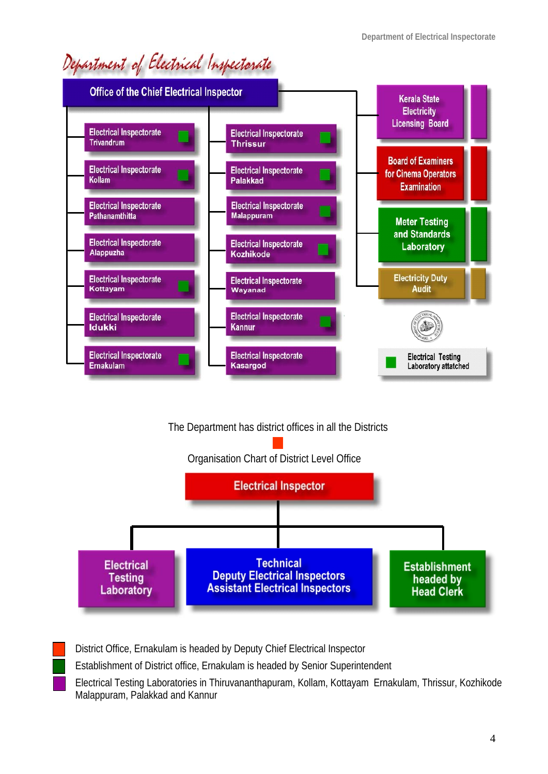# Department of Electrical Inspectorate



#### The Department has district offices in all the Districts





District Office, Ernakulam is headed by Deputy Chief Electrical Inspector

Establishment of District office, Ernakulam is headed by Senior Superintendent

Electrical Testing Laboratories in Thiruvananthapuram, Kollam, Kottayam Ernakulam, Thrissur, Kozhikode Malappuram, Palakkad and Kannur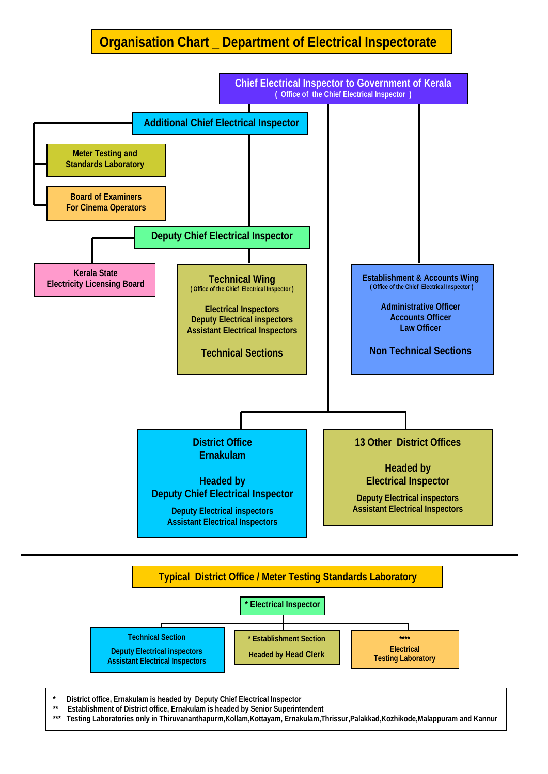### **Organisation Chart \_ Department of Electrical Inspectorate**





**\* District office, Ernakulam is headed by Deputy Chief Electrical Inspector** 

\*\* Establishment of District office, Ernakulam is headed by Senior Superintendent<br>\*\*\* Testing Laboratories only in Thirusananthanum Kollam Kottavam, Ernakulam T

**\*\*\* Testing Laboratories only in Thiruvananthapurm,Kollam,Kottayam, Ernakulam,Thrissur,Palakkad,Kozhikode,Malappuram and Kannur**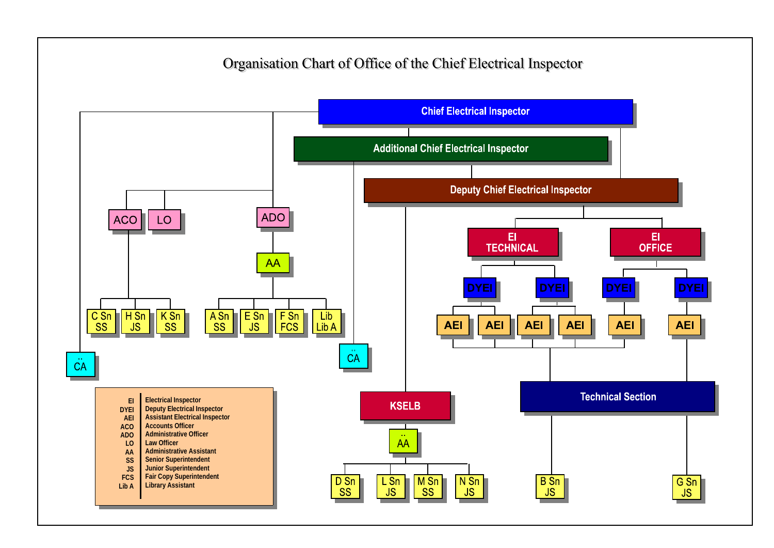## Organisation Chart of Office of the Chief Electrical Inspector